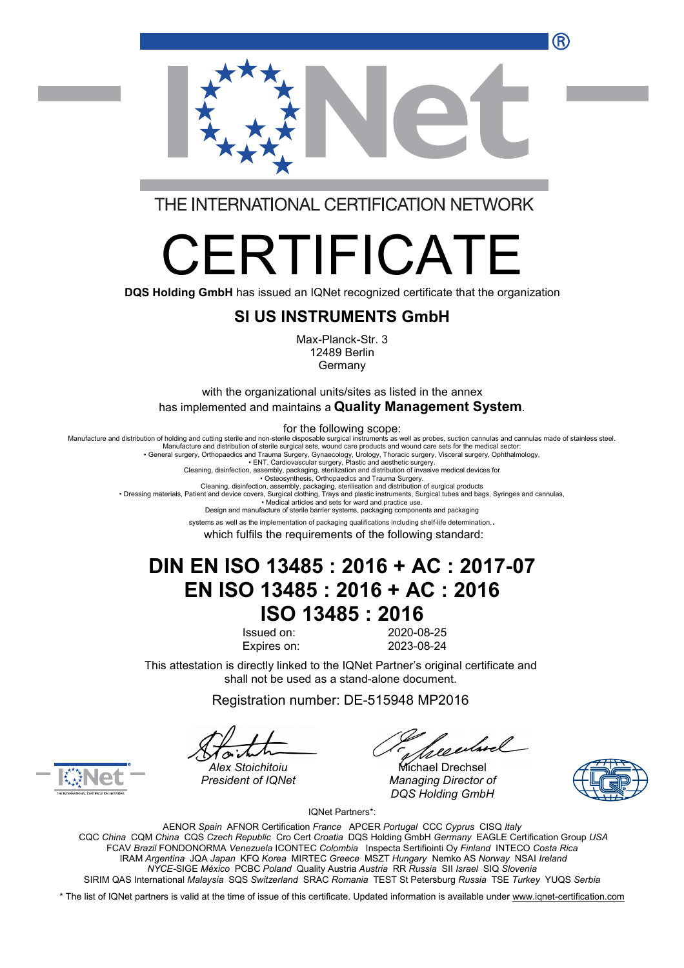R



THE INTERNATIONAL CERTIFICATION NETWORK

# ERTIFICAT

**DQS Holding GmbH** has issued an IQNet recognized certificate that the organization

#### **SI US INSTRUMENTS GmbH**

Max-Planck-Str. 3 12489 Berlin Germany

with the organizational units/sites as listed in the annex has implemented and maintains a **Quality Management System**.

for the following scope:

Manufacture and distribution of holding and cutting sterile and non-sterile disposable surgical instruments as well as probes, suction cannulas and cannulas made of stainless steel Manufacture and distribution of sterile surgical sets, wound care products and wound care sets for the medical sector:

• General surgery, Orthopaedics and Trauma Surgery, Gynaecology, Urology, Thoracic surgery, Visceral surgery, Ophthalmology, • ENT, Cardiovascular surgery, Plastic and aesthetic surgery.

Cleaning, disinfection, assembly, packaging, sterilization and distribution of invasive medical devices for<br>Osteosynthesis, Orthopaedics and Trauma Surgery.<br>• Dressing materials, Patient and device covers, Surgical orbtin

• Medical articles and sets for ward and practice use.

Design and manufacture of sterile barrier systems, packaging components and packaging

systems as well as the implementation of packaging qualifications including shelf-life determination..

which fulfils the requirements of the following standard:

## **DIN EN ISO 13485 : 2016 + AC : 2017-07 EN ISO 13485 : 2016 + AC : 2016 ISO 13485 : 2016**

Issued on: 2020-08-25 Expires on: 2023-08-24

This attestation is directly linked to the IQNet Partner's original certificate and shall not be used as a stand-alone document.

Registration number: DE-515948 MP2016

*Alex Stoichitoiu* Michael Drechsel *President of IQNet Managing Director of DQS Holding GmbH*





IQNet Partners\*:

AENOR *Spain* AFNOR Certification *France* APCER *Portugal* CCC *Cyprus* CISQ *Italy* CQC *China* CQM *China* CQS *Czech Republic* Cro Cert *Croatia* DQS Holding GmbH *Germany* EAGLE Certification Group *USA* FCAV *Brazil* FONDONORMA *Venezuela* ICONTEC *Colombia* Inspecta Sertifiointi Oy *Finland* INTECO *Costa Rica* IRAM *Argentina* JQA *Japan* KFQ *Korea* MIRTEC *Greece* MSZT *Hungary* Nemko AS *Norway* NSAI *Ireland NYCE-*SIGE *México* PCBC *Poland* Quality Austria *Austria* RR *Russia* SII *Israel* SIQ *Slovenia* SIRIM QAS International *Malaysia* SQS *Switzerland* SRAC *Romania* TEST St Petersburg *Russia* TSE *Turkey* YUQS *Serbia*

\* The list of IQNet partners is valid at the time of issue of this certificate. Updated information is available under [www.iqnet-certification.com](http://www.iqnet-certification.com)